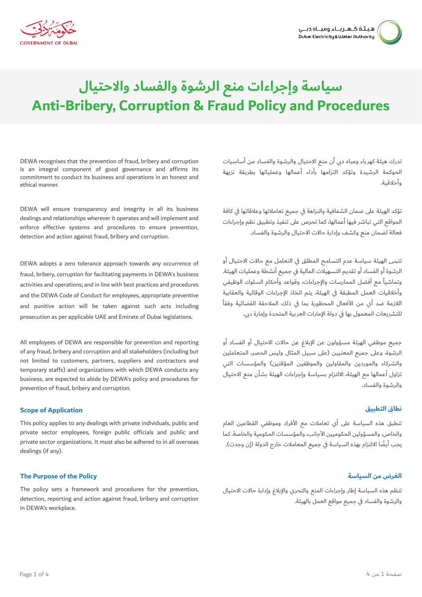

# سياسة وإجراءات منع الرشوة والفساد والاحتيال **Anti-Bribery, Corruption & Fraud Policy and Procedures**

DEWA recognises that the prevention of fraud, bribery and corruption is an integral component of good governance and affirms its commitment to conduct its business and operations in an honest and ethical manner.

DEWA will ensure transparency and integrity in all its business dealings and relationships wherever it operates and will implement and enforce effective systems and procedures to ensure prevention, detection and action against fraud, bribery and corruption.

DEWA adopts a zero tolerance approach towards any occurrence of fraud, bribery, corruption for facilitating payments in DEWA's business activities and operations; and in line with best practices and procedures and the DEWA Code of Conduct for employees, appropriate preventive and punitive action will be taken against such acts including prosecution as per applicable UAE and Emirate of Dubai legislations.

All employees of DEWA are responsible for prevention and reporting of any fraud, bribery and corruption and all stakeholders (including but not limited to customers, partners, suppliers and contractors and temporary staffs) and organizations with which DEWA conducts any business, are expected to abide by DEWA's policy and procedures for prevention of fraud, bribery and corruption.

## **Scope of Application**

This policy applies to any dealings with private individuals, public and private sector employees, foreign public officials and public and private sector organizations. It must also be adhered to in all overseas dealings (if any).

## **The Purpose of the Policy**

The policy sets a framework and procedures for the prevention, detection, reporting and action against fraud, bribery and corruption in DEWA's workplace.

تدرك هيئة كهرباء ومباه دبي أن منع الاحتيال والرشوة والفساد من أساسيات الحوكمة الرشيدة وتؤكد التزامها بأداء أعمالها وعملياتها بطريقة نزيهة وأخلاقىة.

تؤكد الهيئة على ضمان الشفافية والنزاهة في جميع تعاملاتها وعلاقاتها في كافة المواقع التي تباشر فيها أعمالها٬ كما تحرص على تنفيذ وتطبيق نظم وإجراءات فعالة لضمان منع وكشف وإدارة حالات الاحتيال والرشوة والفساد.

تتبنى الهيئة سياسة عدم التسامح المطلق في التعامل مع حالات الاحتيال أو الرشوة أو الفساد أو تقديم التسهيلات المالية في جميع أنشطة وعمليات الهيئة. وتماشياً مع أفضل الممارسات والإجراءات٬ وقواعد وأحكام السلوك الوظيفي وأخلاقيات العمل المطبقة في الهيئة، يتم اتخاذ الإجراءات الوقائية والعقابية اللازمة ضد أي من الأفعال المحظورة بما في ذلك الملاحقة القضائية وفقاً للتشريعات المعمول بها في دولة الإمارات العربية المتحدة وإمارة دي.

جميع موظفي الهيئة مسؤولون عن الإبلاغ عن حالات الاحتيال أو الفساد أو الرشوة٬ وعلى جميع المعنيين (على سبيل المثال وليس الحصر٬ المتعاملين والشركاء والموردين والمقاولين والموظفين المؤقتين) والمؤسسات التى تزاول أعمالها مع الهيئة٬ الالتزام بسياسة وإجراءات الهيئة بشأن منع الاحتيال والرشوة والفساد.

# نطاق التطبيق

.<br>تنطبق هذه السياسة على أي تعاملات مع الأفراد وموظفي القطاعين العام والخاص، والمسؤولين الحكوميين الأجانب، والمؤسسات الحكومية والخاصة. كما يجب أيضًا الالتزام بهذه السياسة في جميع المعاملات خارج الدولة (إن وجدت).

# الغرض من السياسة

تنظم هذه السياسة إطار وإجراءات المنع والتحري والإبلاغ وإدارة حالات الاحتيال والرشوة والفساد في جميع مواقع العمل بالهيئة.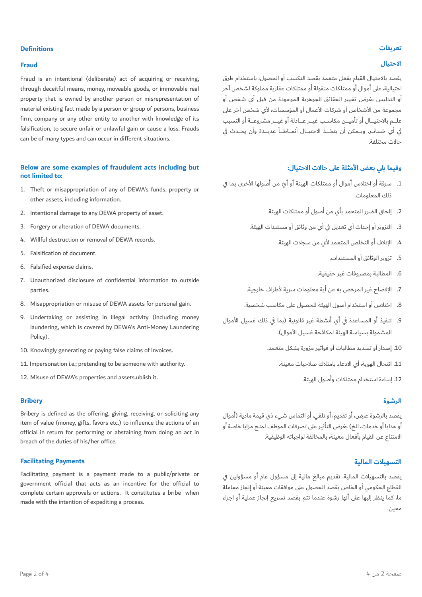# <mark>تعريفات</mark>

# **الاحتيال**

يقصد بالاحتيال القيام بفعل متعمد بقصد التكسب أو الحصول، باستخدام طرق احتيالية، على أموال أو ممتلكات منقولة أو ممتلكات عقارية مملوكة لشخص آخر أو التدليس بغرض تغيير الحقائق الجوهرية الموجودة من قبل أي شخص أو مجموعة من الأشخاص أو شركات الأعمال أو المؤسسات، لأي شخص آخر على علــم بالاحتيــال أو تأميــن مكاسـب غيــر عــادلة أو غيـــر مشروعــة أو التسبب في أي خسائـر. ويــمكن أن يتخـــذ الاحتيــال أنمــاطــاً عديــدة وأن يحــدث في حالات مختلفة.

# **وفيما يلي بعض الأمثلة على حالات الاحتيال:**

- 1. سرقة او اختلاس اموال او ممتلكات الهيئة او ايّ من اصولها الأخرى بما في ذلك المعلومات.
	- 2. إلحاق الضرر المتعمد باي من اصول او ممتلكات الهيئة.
	- 3. التزوير او إحداث اي تعديل في اي من وثائق او مستندات الهيئة.
		- الإتلاف أو التخلص المتعمد لأي من سجلات الهيئة. .4
			- 5. تزوير الوثائق او المستندات.
			- المطالبة بمصروفات غير حقيقية. .6
	- 7. الإفصاح غير المرخص به عن اية معلومات سرية لأطراف خارجية.
	- 8. اختلاس او استخدام اصول الهيئة للحصول على مكاسب شخصية.
- 9. تنفيذ أو المساعدة في أي أنشطة غير قانونية (بما في ذلك غسيل الأموال
	- .10 إصدار أو تسديد مطالبات أو فواتير مزورة بشكل متعمد.
		- .11 انتحال الهوية، أي الادعاء بامتلاك صلاحيات معينة.
			- .12 إساءة استخدام ممتلكات وأصول الهيئة.

# لرشوة<br>الرشو<u>ة</u>

يقصد بالرشوة عرض، أو تقديم، أو تلقي، أو التماس شيء ذي قيمة مادية (أموال أو هدايا أو خدمات، الخ) بغرض التأثير على تصرفات الموظف لمنح مزايا خاصة أو الامتناع عن القيام بأفعال معينة، بالمخالفة لواجباته الوظيفية.

# **التسهيلات المالية**

يقصد بالتسهيلات المالية، تقديم مبالغ مالية إلى مسؤول عام أو مسؤولين في القطاع الحكومي أو الخاص بقصد الحصول على موافقات معينة أو إنجاز معاملة ما، كما ينظر إليها على أنها رشوة عندما تتم بقصد تسريع إنجاز عملية أو إجراء معين.

## **Definitions**

#### **Fraud**

Fraud is an intentional (deliberate) act of acquiring or receiving, through deceitful means, money, moveable goods, or immovable real property that is owned by another person or misrepresentation of material existing fact made by a person or group of persons, business firm, company or any other entity to another with knowledge of its falsification, to secure unfair or unlawful gain or cause a loss. Frauds can be of many types and can occur in different situations.

## **Below are some examples of fraudulent acts including but not limited to:**

- 1. Theft or misappropriation of any of DEWA's funds, property or other assets, including information.
- 2. Intentional damage to any DEWA property of asset.
- 3. Forgery or alteration of DEWA documents.
- 4. Willful destruction or removal of DEWA records.
- 5. Falsification of document.
- 6. Falsified expense claims.
- 7. Unauthorized disclosure of confidential information to outside parties.
- 8. Misappropriation or misuse of DEWA assets for personal gain.
- 9. Undertaking or assisting in illegal activity (including money .(الأموال غسيل لمكافحة الهيئة بسياسة المشمولة laundering, which is covered by DEWA's Anti-Money Laundering Policy).
- 10. Knowingly generating or paying false claims of invoices.
- 11. Impersonation i.e.; pretending to be someone with authority.
- 12. Misuse of DEWA's properties and assets.ublish it.

# **Bribery**

Bribery is defined as the offering, giving, receiving, or soliciting any item of value (money, gifts, favors etc.) to influence the actions of an official in return for performing or abstaining from doing an act in breach of the duties of his/her office.

# **Facilitating Payments**

Facilitating payment is a payment made to a public/private or government official that acts as an incentive for the official to complete certain approvals or actions. It constitutes a bribe when made with the intention of expediting a process.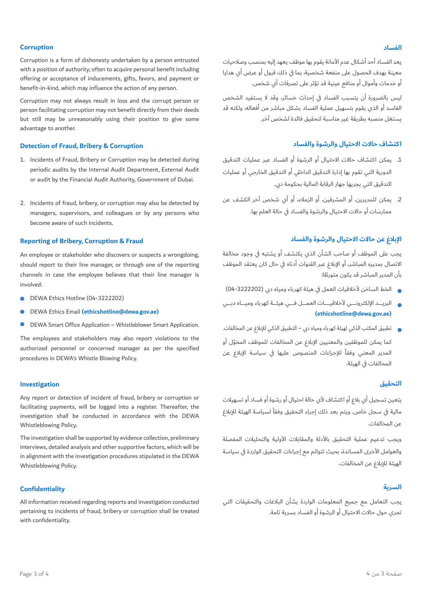## **الفساد**

يعد الفساد أحد أشكال عدم الأمانة يقوم بها موظف يعهد إليه بمنصب وصلاحيات معينة بهدف الحصول على منفعة شخصية، بما في ذلك قبول أو عرض أي هدايا أو خدمات وأموال أو منافع عينية قد تؤثر على تصرفات أي شخص.

ليس بالضرورة أن يتسبب الفساد في إحداث خسائر، وقد لا يستفيد الشخص الفاسد أو الذي يقوم بتسهيل عملية الفساد بشكل مباشر من أفعاله، ولكنه قد يستغل منصبه بطريقة غير مناسبة لتحقيق فائدة لشخص آخر.

# **ا كتشاف حالات الاحتيال والر ة والفسادشو**

- 1. يمكن اكتشاف حالات الاحتيال او الرشوة او الفساد عبر عمليات التدقيق الدورية التي تقوم بها إدارة التدقيق الداخلي أو التدقيق الخارجي أو عمليات التدقيق التي يجريها جهاز الرقابة المالية بحكومة دبي.
- 2. يمكن للمديرين، او المشرفين، او الزملاء، او اي شخص اخر الكشف عن ممارسات أو حالات الاحتيال والرشوة والفساد في حالة العلم بها.

# <mark>الإبلاغ عن حالات الاحتيال والرشوة والفساد</mark>

يجب على الموظف أو صاحب الشأن الذي يكتشف أو يشتبه في وجود مخالفة الاتصال بمديره المباشر٬ أو الإبلاغ عبر القنوات أدناه في حال كان يعتقد الموظف بأن المدير المباشر قد يكون متورًطا:

- الخط الساخن لأخلاقيات العمل في هيئة كهرباء ومياه دبي ( 04-3222202)
- يــــــــدالبر نـــــــــيالإلكترو لأخلاقيـــــــــــات العمـــــــل هيئــــــة فــــــــي وميــــــــاه باءكهر دبـــــــي **(ethicshotline@dewa.gov.ae)**
- تطبيق المكتب الذكي لهيئة كهرباء ومياه دبي التطبيق الذكي للإبلاغ عن المخالفات.

كما يمكن للموظفين والمعنيين الإبلاغ عن المخالفات للموظف المخوّل أو المدير المعنى وفقاً للإجراءات المنصوص عليها في سياسة الإبلاغ عن المخالفات في الهيئة.

# **التحقيق**

يتعين تسجيل أي بلاغ أو اكتشاف لأي حالة احتيال أو رشوة أو فساد أو تسهيلات مالية في سجل خاص. ويتم بعد ذلك إجراء التحقيق وفقاً لسياسة الهيئة للإبلاغ عن المخالفات.

ويجب تدعيم عملية التحقيق بالأدلة والمقابلات الأولية والتحليلات المفصلة والعوامل الأخرى المساندة، بحيث تتوائم مع إجراءات التحقيق الواردة في سياسة الهيئة للإبلاغ عن المخالفات.

# **يةالسر**

يجب التعامل مع جميع المعلومات الواردة بشأن البلاغات والتحقيقات التي تجري حول حالات الاحتيال أو الرشوة أو الفساد بسرية تامة.

## **Corruption**

Corruption is a form of dishonesty undertaken by a person entrusted with a position of authority; often to acquire personal benefit including offering or acceptance of inducements, gifts, favors, and payment or benefit-in-kind, which may influence the action of any person.

Corruption may not always result in loss and the corrupt person or person facilitating corruption may not benefit directly from their deeds but still may be unreasonably using their position to give some advantage to another.

## **Detection of Fraud, Bribery & Corruption**

- 1. Incidents of Fraud, Bribery or Corruption may be detected during periodic audits by the Internal Audit Department, External Audit or audit by the Financial Audit Authority, Government of Dubai.
- 2. Incidents of fraud, bribery, or corruption may also be detected by managers, supervisors, and colleagues or by any persons who become aware of such incidents.

#### **Reporting of Bribery, Corruption & Fraud**

An employee or stakeholder who discovers or suspects a wrongdoing, should report to their line manager, or through one of the reporting channels in case the employee believes that their line manager is involved:

- DEWA Ethics Hotline (04-3222202)  $\bullet$
- DEWA Ethics Email **(ethicshotline@dewa.gov.ae)**
- Ċ DEWA Smart Office Application – Whistleblower Smart Application.

The employees and stakeholders may also report violations to the authorized personnel or concerned manager as per the specified procedures in DEWA's Whistle Blowing Policy.

#### **Investigation**

Any report or detection of incident of fraud, bribery or corruption or facilitating payments, will be logged into a register. Thereafter, the investigation shall be conducted in accordance with the DEWA Whistleblowing Policy.

The investigation shall be supported by evidence collection, preliminary interviews, detailed analysis and other supportive factors, which will be in alignment with the investigation procedures stipulated in the DEWA Whistleblowing Policy.

## **Confidentiality**

All information received regarding reports and investigation conducted pertaining to incidents of fraud, bribery or corruption shall be treated with confidentiality.